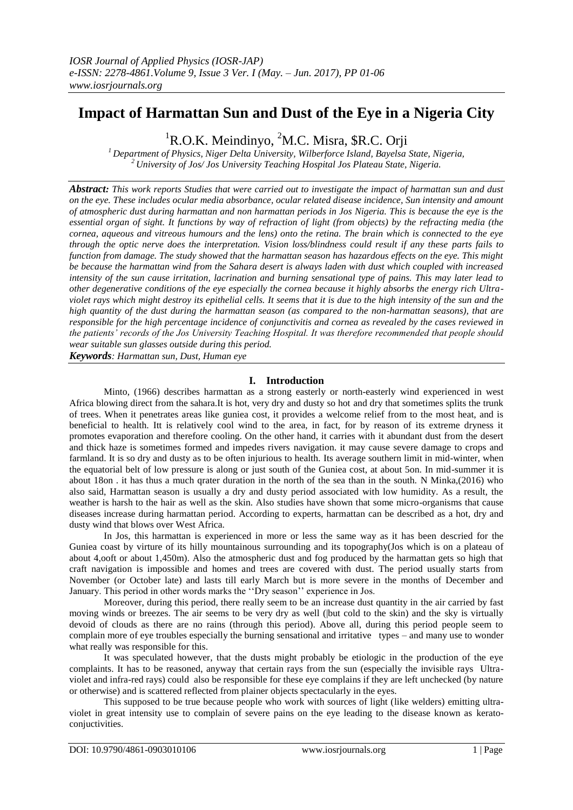# **Impact of Harmattan Sun and Dust of the Eye in a Nigeria City**

<sup>1</sup>R.O.K. Meindinyo, <sup>2</sup>M.C. Misra, \$R.C. Orji

*<sup>1</sup> Department of Physics, Niger Delta University, Wilberforce Island, Bayelsa State, Nigeria, <sup>2</sup> University of Jos/ Jos University Teaching Hospital Jos Plateau State, Nigeria.*

*Abstract: This work reports Studies that were carried out to investigate the impact of harmattan sun and dust on the eye. These includes ocular media absorbance, ocular related disease incidence, Sun intensity and amount of atmospheric dust during harmattan and non harmattan periods in Jos Nigeria. This is because the eye is the essential organ of sight. It functions by way of refraction of light (from objects) by the refracting media (the cornea, aqueous and vitreous humours and the lens) onto the retina. The brain which is connected to the eye through the optic nerve does the interpretation. Vision loss/blindness could result if any these parts fails to function from damage. The study showed that the harmattan season has hazardous effects on the eye. This might be because the harmattan wind from the Sahara desert is always laden with dust which coupled with increased intensity of the sun cause irritation, lacrination and burning sensational type of pains. This may later lead to other degenerative conditions of the eye especially the cornea because it highly absorbs the energy rich Ultraviolet rays which might destroy its epithelial cells. It seems that it is due to the high intensity of the sun and the high quantity of the dust during the harmattan season (as compared to the non-harmattan seasons), that are responsible for the high percentage incidence of conjunctivitis and cornea as revealed by the cases reviewed in the patients' records of the Jos University Teaching Hospital. It was therefore recommended that people should wear suitable sun glasses outside during this period.*

*Keywords: Harmattan sun, Dust, Human eye*

## **I. Introduction**

Minto, (1966) describes harmattan as a strong easterly or north-easterly wind experienced in west Africa blowing direct from the sahara.It is hot, very dry and dusty so hot and dry that sometimes splits the trunk of trees. When it penetrates areas like guniea cost, it provides a welcome relief from to the most heat, and is beneficial to health. Itt is relatively cool wind to the area, in fact, for by reason of its extreme dryness it promotes evaporation and therefore cooling. On the other hand, it carries with it abundant dust from the desert and thick haze is sometimes formed and impedes rivers navigation. it may cause severe damage to crops and farmland. It is so dry and dusty as to be often injurious to health. Its average southern limit in mid-winter, when the equatorial belt of low pressure is along or just south of the Guniea cost, at about 5on. In mid-summer it is about 18on . it has thus a much qrater duration in the north of the sea than in the south. N Minka,(2016) who also said, Harmattan season is usually a dry and dusty period associated with low humidity. As a result, the weather is harsh to the hair as well as the skin. Also studies have shown that some micro-organisms that cause diseases increase during harmattan period. According to experts, harmattan can be described as a hot, dry and dusty wind that blows over West Africa.

In Jos, this harmattan is experienced in more or less the same way as it has been descried for the Guniea coast by virture of its hilly mountainous surrounding and its topography(Jos which is on a plateau of about 4,ooft or about 1,450m). Also the atmospheric dust and fog produced by the harmattan gets so high that craft navigation is impossible and homes and trees are covered with dust. The period usually starts from November (or October late) and lasts till early March but is more severe in the months of December and January. This period in other words marks the ''Dry season'' experience in Jos.

Moreover, during this period, there really seem to be an increase dust quantity in the air carried by fast moving winds or breezes. The air seems to be very dry as well (|but cold to the skin) and the sky is virtually devoid of clouds as there are no rains (through this period). Above all, during this period people seem to complain more of eye troubles especially the burning sensational and irritative types – and many use to wonder what really was responsible for this.

It was speculated however, that the dusts might probably be etiologic in the production of the eye complaints. It has to be reasoned, anyway that certain rays from the sun (especially the invisible rays Ultraviolet and infra-red rays) could also be responsible for these eye complains if they are left unchecked (by nature or otherwise) and is scattered reflected from plainer objects spectacularly in the eyes.

This supposed to be true because people who work with sources of light (like welders) emitting ultraviolet in great intensity use to complain of severe pains on the eye leading to the disease known as keratoconjuctivities.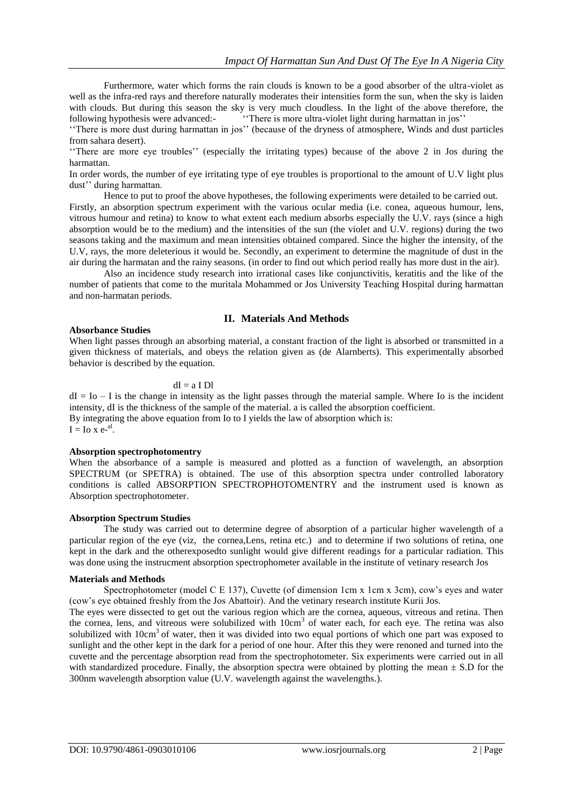Furthermore, water which forms the rain clouds is known to be a good absorber of the ultra-violet as well as the infra-red rays and therefore naturally moderates their intensities form the sun, when the sky is laiden with clouds. But during this season the sky is very much cloudless. In the light of the above therefore, the following hypothesis were advanced:- "There is more ultra-violet light during harmattan in jos"

''There is more dust during harmattan in jos'' (because of the dryness of atmosphere, Winds and dust particles from sahara desert).

''There are more eye troubles'' (especially the irritating types) because of the above 2 in Jos during the harmattan.

In order words, the number of eye irritating type of eye troubles is proportional to the amount of U.V light plus dust'' during harmattan.

Hence to put to proof the above hypotheses, the following experiments were detailed to be carried out.

Firstly, an absorption spectrum experiment with the various ocular media (i.e. conea, aqueous humour, lens, vitrous humour and retina) to know to what extent each medium absorbs especially the U.V. rays (since a high absorption would be to the medium) and the intensities of the sun (the violet and U.V. regions) during the two seasons taking and the maximum and mean intensities obtained compared. Since the higher the intensity, of the U.V, rays, the more deleterious it would be. Secondly, an experiment to determine the magnitude of dust in the air during the harmatan and the rainy seasons. (in order to find out which period really has more dust in the air).

Also an incidence study research into irrational cases like conjunctivitis, keratitis and the like of the number of patients that come to the muritala Mohammed or Jos University Teaching Hospital during harmattan and non-harmatan periods.

## **II. Materials And Methods**

#### **Absorbance Studies**

When light passes through an absorbing material, a constant fraction of the light is absorbed or transmitted in a given thickness of materials, and obeys the relation given as (de Alarnberts). This experimentally absorbed behavior is described by the equation.

#### $dI = a I Dl$

 $dI = I_0 - I$  is the change in intensity as the light passes through the material sample. Where Io is the incident intensity, dI is the thickness of the sample of the material. a is called the absorption coefficient. By integrating the above equation from Io to I yields the law of absorption which is:  $I = Io \times e^{-al}$ .

## **Absorption spectrophotomentry**

When the absorbance of a sample is measured and plotted as a function of wavelength, an absorption SPECTRUM (or SPETRA) is obtained. The use of this absorption spectra under controlled laboratory conditions is called ABSORPTION SPECTROPHOTOMENTRY and the instrument used is known as Absorption spectrophotometer.

#### **Absorption Spectrum Studies**

The study was carried out to determine degree of absorption of a particular higher wavelength of a particular region of the eye (viz, the cornea,Lens, retina etc.) and to determine if two solutions of retina, one kept in the dark and the otherexposedto sunlight would give different readings for a particular radiation. This was done using the instrucment absorption spectrophometer available in the institute of vetinary research Jos

#### **Materials and Methods**

Spectrophotometer (model C E 137), Cuvette (of dimension 1cm x 1cm x 3cm), cow's eyes and water (cow's eye obtained freshly from the Jos Abattoir). And the vetinary research institute Kurii Jos.

The eyes were dissected to get out the various region which are the cornea, aqueous, vitreous and retina. Then the cornea, lens, and vitreous were solubilized with 10cm<sup>3</sup> of water each, for each eye. The retina was also solubilized with  $10 \text{cm}^3$  of water, then it was divided into two equal portions of which one part was exposed to sunlight and the other kept in the dark for a period of one hour. After this they were renoned and turned into the cuvette and the percentage absorption read from the spectrophotometer. Six experiments were carried out in all with standardized procedure. Finally, the absorption spectra were obtained by plotting the mean  $\pm$  S.D for the 300nm wavelength absorption value (U.V. wavelength against the wavelengths.).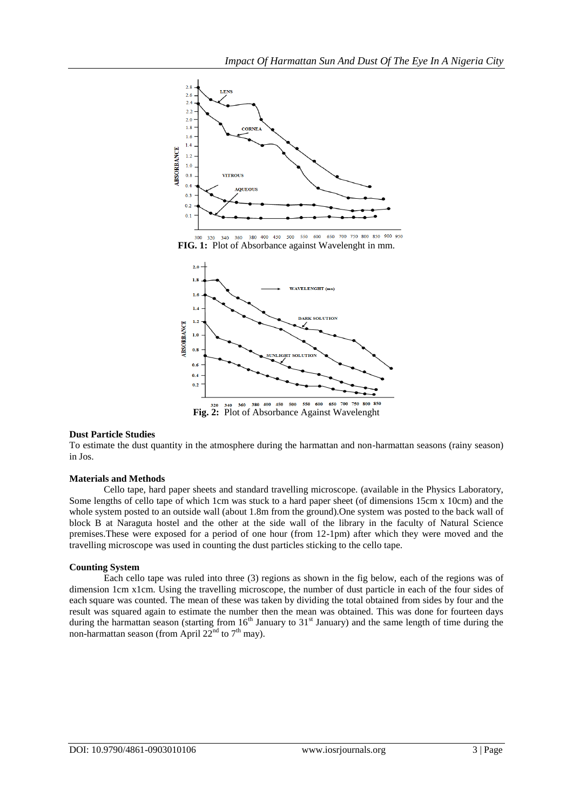

380 400 450 500 550 600 650 700 750 800 850 900 950 340 360 **FIG. 1:** Plot of Absorbance against Wavelenght in mm.



## **Dust Particle Studies**

To estimate the dust quantity in the atmosphere during the harmattan and non-harmattan seasons (rainy season) in Jos.

## **Materials and Methods**

Cello tape, hard paper sheets and standard travelling microscope. (available in the Physics Laboratory, Some lengths of cello tape of which 1cm was stuck to a hard paper sheet (of dimensions 15cm x 10cm) and the whole system posted to an outside wall (about 1.8m from the ground). One system was posted to the back wall of block B at Naraguta hostel and the other at the side wall of the library in the faculty of Natural Science premises.These were exposed for a period of one hour (from 12-1pm) after which they were moved and the travelling microscope was used in counting the dust particles sticking to the cello tape.

## **Counting System**

Each cello tape was ruled into three (3) regions as shown in the fig below, each of the regions was of dimension 1cm x1cm. Using the travelling microscope, the number of dust particle in each of the four sides of each square was counted. The mean of these was taken by dividing the total obtained from sides by four and the result was squared again to estimate the number then the mean was obtained. This was done for fourteen days during the harmattan season (starting from  $16<sup>th</sup>$  January to  $31<sup>st</sup>$  January) and the same length of time during the non-harmattan season (from April  $22<sup>nd</sup>$  to  $7<sup>th</sup>$  may).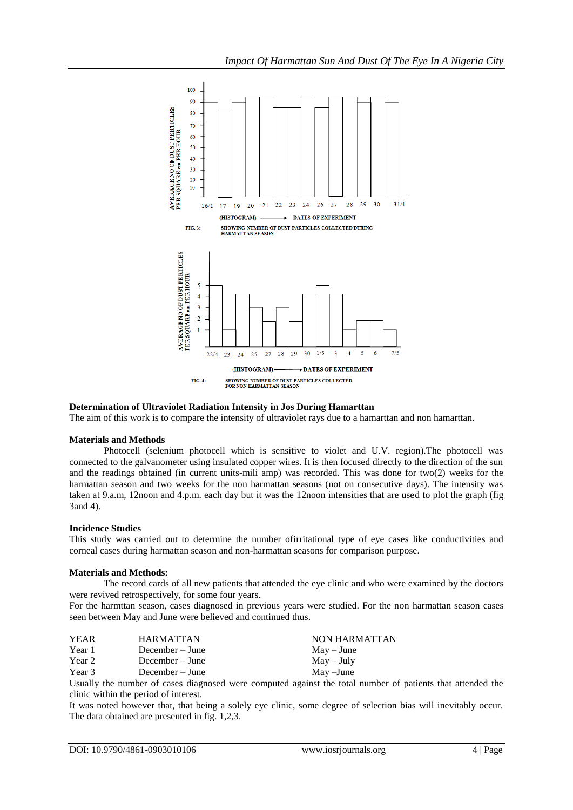

## **Determination of Ultraviolet Radiation Intensity in Jos During Hamarttan**

The aim of this work is to compare the intensity of ultraviolet rays due to a hamarttan and non hamarttan.

#### **Materials and Methods**

Photocell (selenium photocell which is sensitive to violet and U.V. region).The photocell was connected to the galvanometer using insulated copper wires. It is then focused directly to the direction of the sun and the readings obtained (in current units-mili amp) was recorded. This was done for two(2) weeks for the harmattan season and two weeks for the non harmattan seasons (not on consecutive days). The intensity was taken at 9.a.m, 12noon and 4.p.m. each day but it was the 12noon intensities that are used to plot the graph (fig 3and 4).

#### **Incidence Studies**

This study was carried out to determine the number ofirritational type of eye cases like conductivities and corneal cases during harmattan season and non-harmattan seasons for comparison purpose.

## **Materials and Methods:**

The record cards of all new patients that attended the eye clinic and who were examined by the doctors were revived retrospectively, for some four years.

For the harmttan season, cases diagnosed in previous years were studied. For the non harmattan season cases seen between May and June were believed and continued thus.

| <b>YEAR</b> | <b>HARMATTAN</b> | NON HARMATTAN              |
|-------------|------------------|----------------------------|
| Year 1      | December – June  | $\text{Mav} - \text{June}$ |
| Year 2      | December – June  | $May - July$               |
| Year 3      | December – June  | May –June                  |
|             |                  |                            |

Usually the number of cases diagnosed were computed against the total number of patients that attended the clinic within the period of interest.

It was noted however that, that being a solely eye clinic, some degree of selection bias will inevitably occur. The data obtained are presented in fig. 1,2,3.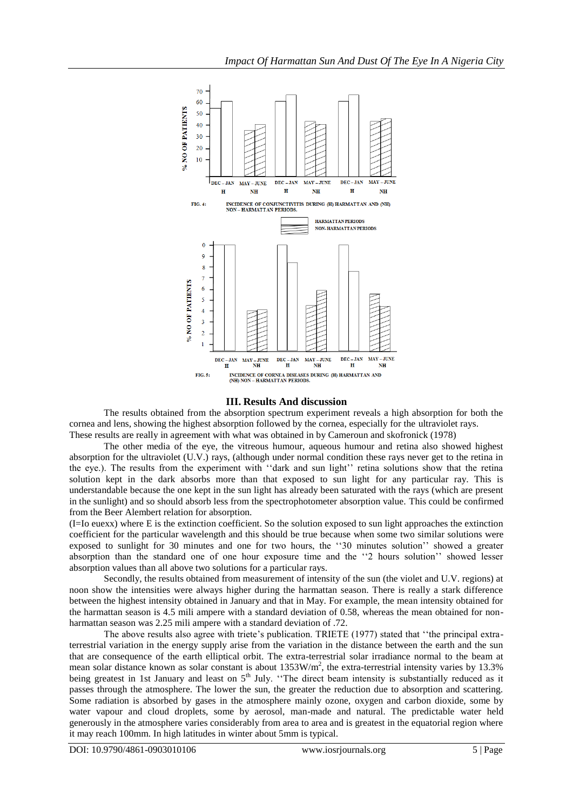

## **III. Results And discussion**

The results obtained from the absorption spectrum experiment reveals a high absorption for both the cornea and lens, showing the highest absorption followed by the cornea, especially for the ultraviolet rays. These results are really in agreement with what was obtained in by Cameroun and skofronick (1978)

The other media of the eye, the vitreous humour, aqueous humour and retina also showed highest absorption for the ultraviolet (U.V.) rays, (although under normal condition these rays never get to the retina in the eye.). The results from the experiment with ''dark and sun light'' retina solutions show that the retina solution kept in the dark absorbs more than that exposed to sun light for any particular ray. This is understandable because the one kept in the sun light has already been saturated with the rays (which are present in the sunlight) and so should absorb less from the spectrophotometer absorption value. This could be confirmed from the Beer Alembert relation for absorption.

(I=Io euexx) where E is the extinction coefficient. So the solution exposed to sun light approaches the extinction coefficient for the particular wavelength and this should be true because when some two similar solutions were exposed to sunlight for 30 minutes and one for two hours, the ''30 minutes solution'' showed a greater absorption than the standard one of one hour exposure time and the ''2 hours solution'' showed lesser absorption values than all above two solutions for a particular rays.

Secondly, the results obtained from measurement of intensity of the sun (the violet and U.V. regions) at noon show the intensities were always higher during the harmattan season. There is really a stark difference between the highest intensity obtained in January and that in May. For example, the mean intensity obtained for the harmattan season is 4.5 mili ampere with a standard deviation of 0.58, whereas the mean obtained for nonharmattan season was 2.25 mili ampere with a standard deviation of .72.

The above results also agree with triete's publication. TRIETE (1977) stated that ''the principal extraterrestrial variation in the energy supply arise from the variation in the distance between the earth and the sun that are consequence of the earth elliptical orbit. The extra-terrestrial solar irradiance normal to the beam at mean solar distance known as solar constant is about  $1353W/m^2$ , the extra-terrestrial intensity varies by 13.3% being greatest in 1st January and least on 5<sup>th</sup> July. "The direct beam intensity is substantially reduced as it passes through the atmosphere. The lower the sun, the greater the reduction due to absorption and scattering. Some radiation is absorbed by gases in the atmosphere mainly ozone, oxygen and carbon dioxide, some by water vapour and cloud droplets, some by aerosol, man-made and natural. The predictable water held generously in the atmosphere varies considerably from area to area and is greatest in the equatorial region where it may reach 100mm. In high latitudes in winter about 5mm is typical.